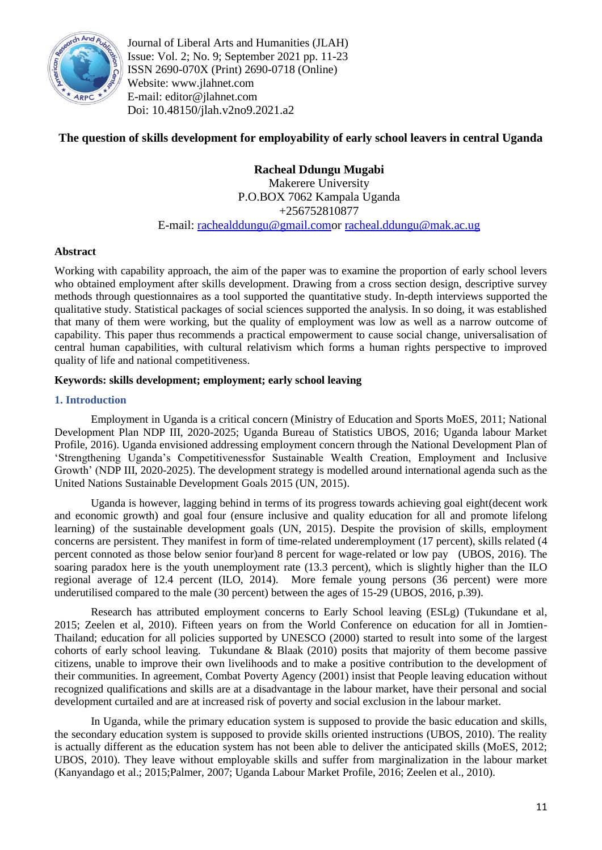

Journal of Liberal Arts and Humanities (JLAH) Issue: Vol. 2; No. 9; September 2021 pp. 11-23 ISSN 2690-070X (Print) 2690-0718 (Online) Website: www.jlahnet.com E-mail: editor@jlahnet.com Doi: 10.48150/jlah.v2no9.2021.a2

# **The question of skills development for employability of early school leavers in central Uganda**

**Racheal Ddungu Mugabi**  Makerere University P.O.BOX 7062 Kampala Uganda +256752810877 E-mail: [rachealddungu@gmail.como](mailto:rachealddungu@gmail.com)r [racheal.ddungu@mak.ac.ug](mailto:racheal.ddungu@mak.ac.ug)

# **Abstract**

Working with capability approach, the aim of the paper was to examine the proportion of early school levers who obtained employment after skills development. Drawing from a cross section design, descriptive survey methods through questionnaires as a tool supported the quantitative study. In-depth interviews supported the qualitative study. Statistical packages of social sciences supported the analysis. In so doing, it was established that many of them were working, but the quality of employment was low as well as a narrow outcome of capability*.* This paper thus recommends a practical empowerment to cause social change, universalisation of central human capabilities, with cultural relativism which forms a human rights perspective to improved quality of life and national competitiveness.

# **Keywords: skills development; employment; early school leaving**

# **1. Introduction**

Employment in Uganda is a critical concern (Ministry of Education and Sports MoES, 2011; National Development Plan NDP III, 2020-2025; Uganda Bureau of Statistics UBOS, 2016; Uganda labour Market Profile, 2016). Uganda envisioned addressing employment concern through the National Development Plan of ‗Strengthening Uganda's Competitivenessfor Sustainable Wealth Creation, Employment and Inclusive Growth' (NDP III, 2020-2025). The development strategy is modelled around international agenda such as the United Nations Sustainable Development Goals 2015 (UN, 2015).

Uganda is however, lagging behind in terms of its progress towards achieving goal eight(decent work and economic growth) and goal four (ensure inclusive and quality education for all and promote lifelong learning) of the sustainable development goals (UN, 2015). Despite the provision of skills, employment concerns are persistent. They manifest in form of time-related underemployment (17 percent), skills related (4 percent connoted as those below senior four)and 8 percent for wage-related or low pay (UBOS, 2016). The soaring paradox here is the youth unemployment rate (13.3 percent), which is slightly higher than the ILO regional average of 12.4 percent (ILO, 2014). More female young persons (36 percent) were more underutilised compared to the male (30 percent) between the ages of 15-29 (UBOS, 2016, p.39).

Research has attributed employment concerns to Early School leaving (ESLg) (Tukundane et al, 2015; Zeelen et al, 2010). Fifteen years on from the World Conference on education for all in Jomtien-Thailand; education for all policies supported by UNESCO (2000) started to result into some of the largest cohorts of early school leaving. Tukundane & Blaak (2010) posits that majority of them become passive citizens, unable to improve their own livelihoods and to make a positive contribution to the development of their communities. In agreement, Combat Poverty Agency (2001) insist that People leaving education without recognized qualifications and skills are at a disadvantage in the labour market, have their personal and social development curtailed and are at increased risk of poverty and social exclusion in the labour market.

In Uganda, while the primary education system is supposed to provide the basic education and skills, the secondary education system is supposed to provide skills oriented instructions (UBOS, 2010). The reality is actually different as the education system has not been able to deliver the anticipated skills (MoES, 2012; UBOS, 2010). They leave without employable skills and suffer from marginalization in the labour market (Kanyandago et al.; 2015;Palmer, 2007; Uganda Labour Market Profile, 2016; Zeelen et al., 2010).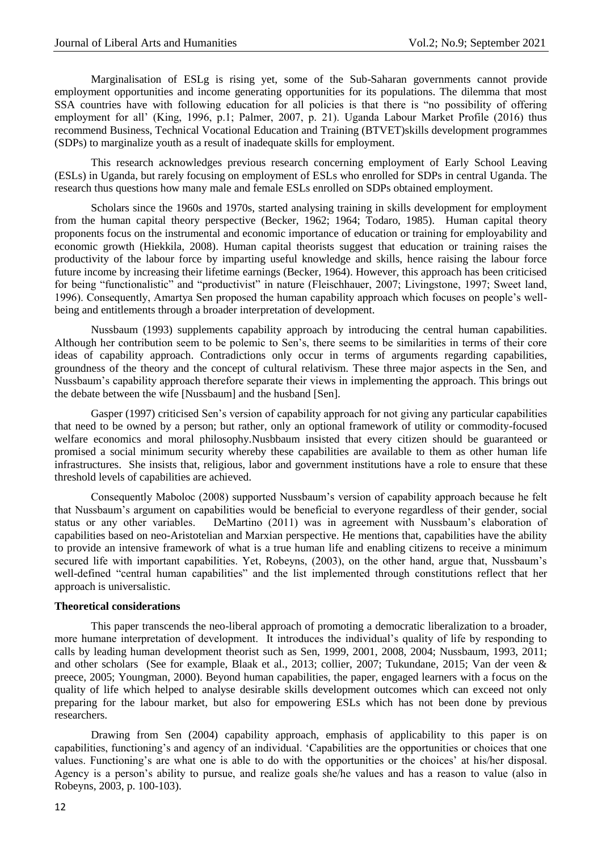Marginalisation of ESLg is rising yet, some of the Sub-Saharan governments cannot provide employment opportunities and income generating opportunities for its populations. The dilemma that most SSA countries have with following education for all policies is that there is "no possibility of offering employment for all' (King, 1996, p.1; Palmer, 2007, p. 21). Uganda Labour Market Profile (2016) thus recommend Business, Technical Vocational Education and Training (BTVET)skills development programmes (SDPs) to marginalize youth as a result of inadequate skills for employment.

This research acknowledges previous research concerning employment of Early School Leaving (ESLs) in Uganda, but rarely focusing on employment of ESLs who enrolled for SDPs in central Uganda. The research thus questions how many male and female ESLs enrolled on SDPs obtained employment.

Scholars since the 1960s and 1970s, started analysing training in skills development for employment from the human capital theory perspective (Becker, 1962; 1964; Todaro, 1985). Human capital theory proponents focus on the instrumental and economic importance of education or training for employability and economic growth (Hiekkila, 2008). Human capital theorists suggest that education or training raises the productivity of the labour force by imparting useful knowledge and skills, hence raising the labour force future income by increasing their lifetime earnings (Becker, 1964). However, this approach has been criticised for being "functionalistic" and "productivist" in nature (Fleischhauer, 2007; Livingstone, 1997; Sweet land, 1996). Consequently, Amartya Sen proposed the human capability approach which focuses on people's wellbeing and entitlements through a broader interpretation of development.

Nussbaum (1993) supplements capability approach by introducing the central human capabilities. Although her contribution seem to be polemic to Sen's, there seems to be similarities in terms of their core ideas of capability approach. Contradictions only occur in terms of arguments regarding capabilities, groundness of the theory and the concept of cultural relativism. These three major aspects in the Sen, and Nussbaum's capability approach therefore separate their views in implementing the approach. This brings out the debate between the wife [Nussbaum] and the husband [Sen].

Gasper (1997) criticised Sen's version of capability approach for not giving any particular capabilities that need to be owned by a person; but rather, only an optional framework of utility or commodity-focused welfare economics and moral philosophy.Nusbbaum insisted that every citizen should be guaranteed or promised a social minimum security whereby these capabilities are available to them as other human life infrastructures. She insists that, religious, labor and government institutions have a role to ensure that these threshold levels of capabilities are achieved.

Consequently Maboloc (2008) supported Nussbaum's version of capability approach because he felt that Nussbaum's argument on capabilities would be beneficial to everyone regardless of their gender, social status or any other variables. DeMartino (2011) was in agreement with Nussbaum's elaboration of capabilities based on neo-Aristotelian and Marxian perspective. He mentions that, capabilities have the ability to provide an intensive framework of what is a true human life and enabling citizens to receive a minimum secured life with important capabilities. Yet, Robeyns, (2003), on the other hand, argue that, Nussbaum's well-defined "central human capabilities" and the list implemented through constitutions reflect that her approach is universalistic.

#### **Theoretical considerations**

This paper transcends the neo-liberal approach of promoting a democratic liberalization to a broader, more humane interpretation of development. It introduces the individual's quality of life by responding to calls by leading human development theorist such as Sen, 1999, 2001, 2008, 2004; Nussbaum, 1993, 2011; and other scholars (See for example, Blaak et al., 2013; collier, 2007; Tukundane, 2015; Van der veen & preece, 2005; Youngman, 2000). Beyond human capabilities, the paper, engaged learners with a focus on the quality of life which helped to analyse desirable skills development outcomes which can exceed not only preparing for the labour market, but also for empowering ESLs which has not been done by previous researchers.

Drawing from Sen (2004) capability approach, emphasis of applicability to this paper is on capabilities, functioning's and agency of an individual. 'Capabilities are the opportunities or choices that one values. Functioning's are what one is able to do with the opportunities or the choices' at his/her disposal. Agency is a person's ability to pursue, and realize goals she/he values and has a reason to value (also in Robeyns, 2003, p. 100-103).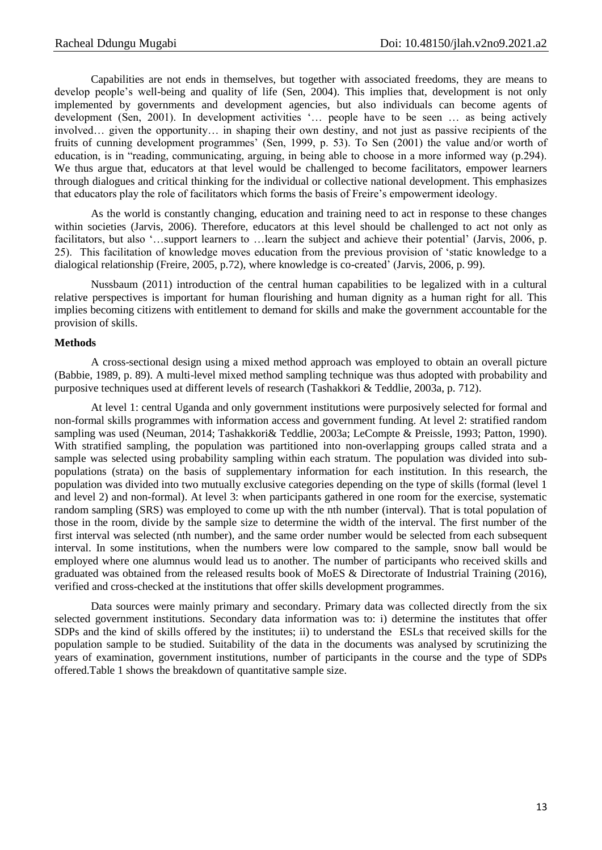Capabilities are not ends in themselves, but together with associated freedoms, they are means to develop people's well-being and quality of life (Sen, 2004). This implies that, development is not only implemented by governments and development agencies, but also individuals can become agents of development (Sen, 2001). In development activities '... people have to be seen ... as being actively involved… given the opportunity… in shaping their own destiny, and not just as passive recipients of the fruits of cunning development programmes' (Sen, 1999, p. 53). To Sen (2001) the value and/or worth of education, is in "reading, communicating, arguing, in being able to choose in a more informed way (p.294). We thus argue that, educators at that level would be challenged to become facilitators, empower learners through dialogues and critical thinking for the individual or collective national development. This emphasizes that educators play the role of facilitators which forms the basis of Freire's empowerment ideology.

As the world is constantly changing, education and training need to act in response to these changes within societies (Jarvis, 2006). Therefore, educators at this level should be challenged to act not only as facilitators, but also '...support learners to ... learn the subject and achieve their potential' (Jarvis, 2006, p. 25). This facilitation of knowledge moves education from the previous provision of ‗static knowledge to a dialogical relationship (Freire, 2005, p.72), where knowledge is co-created' (Jarvis, 2006, p. 99).

Nussbaum (2011) introduction of the central human capabilities to be legalized with in a cultural relative perspectives is important for human flourishing and human dignity as a human right for all. This implies becoming citizens with entitlement to demand for skills and make the government accountable for the provision of skills.

#### **Methods**

A cross-sectional design using a mixed method approach was employed to obtain an overall picture (Babbie, 1989, p. 89). A multi-level mixed method sampling technique was thus adopted with probability and purposive techniques used at different levels of research (Tashakkori & Teddlie, 2003a, p. 712).

At level 1: central Uganda and only government institutions were purposively selected for formal and non-formal skills programmes with information access and government funding. At level 2: stratified random sampling was used (Neuman, 2014; Tashakkori& Teddlie, 2003a; LeCompte & Preissle, 1993; Patton, 1990). With stratified sampling, the population was partitioned into non-overlapping groups called strata and a sample was selected using probability sampling within each stratum. The population was divided into subpopulations (strata) on the basis of supplementary information for each institution. In this research, the population was divided into two mutually exclusive categories depending on the type of skills (formal (level 1 and level 2) and non-formal). At level 3: when participants gathered in one room for the exercise, systematic random sampling (SRS) was employed to come up with the nth number (interval). That is total population of those in the room, divide by the sample size to determine the width of the interval. The first number of the first interval was selected (nth number), and the same order number would be selected from each subsequent interval. In some institutions, when the numbers were low compared to the sample, snow ball would be employed where one alumnus would lead us to another. The number of participants who received skills and graduated was obtained from the released results book of MoES & Directorate of Industrial Training (2016), verified and cross-checked at the institutions that offer skills development programmes.

Data sources were mainly primary and secondary. Primary data was collected directly from the six selected government institutions. Secondary data information was to: i) determine the institutes that offer SDPs and the kind of skills offered by the institutes; ii) to understand the ESLs that received skills for the population sample to be studied. Suitability of the data in the documents was analysed by scrutinizing the years of examination, government institutions, number of participants in the course and the type of SDPs offered.Table 1 shows the breakdown of quantitative sample size.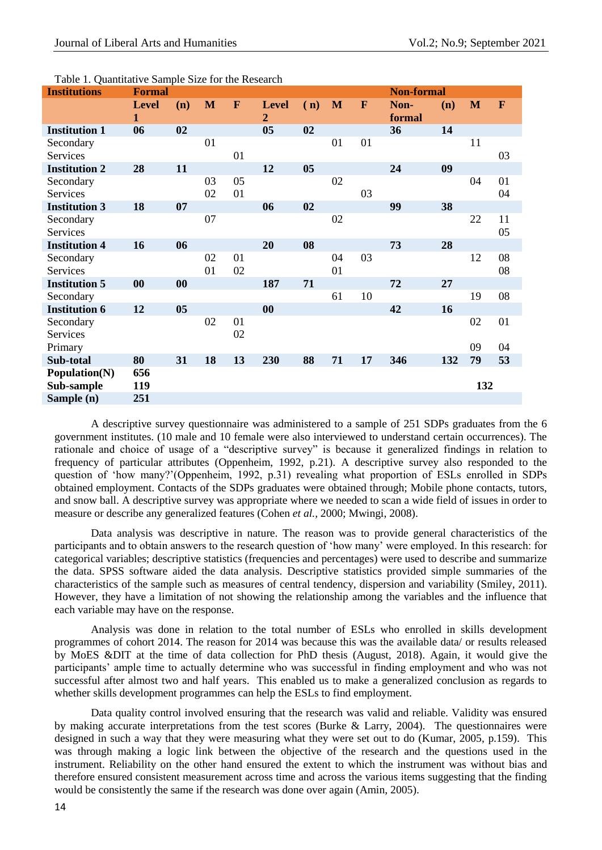| <b>Institutions</b>  | <b>Formal</b>                |           |    |    |                   |                |              | <b>Non-formal</b> |                |     |     |    |
|----------------------|------------------------------|-----------|----|----|-------------------|----------------|--------------|-------------------|----------------|-----|-----|----|
|                      | <b>Level</b><br>$\mathbf{1}$ | (n)       | M  | F  | <b>Level</b><br>2 | (n)            | $\mathbf{M}$ | F                 | Non-<br>formal | (n) | M   | F  |
| <b>Institution 1</b> | 06                           | 02        |    |    | 0 <sub>5</sub>    | 02             |              |                   | 36             | 14  |     |    |
| Secondary            |                              |           | 01 |    |                   |                | 01           | 01                |                |     | 11  |    |
| Services             |                              |           |    | 01 |                   |                |              |                   |                |     |     | 03 |
| <b>Institution 2</b> | 28                           | 11        |    |    | 12                | 0 <sub>5</sub> |              |                   | 24             | 09  |     |    |
| Secondary            |                              |           | 03 | 05 |                   |                | 02           |                   |                |     | 04  | 01 |
| Services             |                              |           | 02 | 01 |                   |                |              | 03                |                |     |     | 04 |
| <b>Institution 3</b> | 18                           | 07        |    |    | 06                | 02             |              |                   | 99             | 38  |     |    |
| Secondary            |                              |           | 07 |    |                   |                | 02           |                   |                |     | 22  | 11 |
| Services             |                              |           |    |    |                   |                |              |                   |                |     |     | 05 |
| <b>Institution 4</b> | 16                           | 06        |    |    | 20                | 08             |              |                   | 73             | 28  |     |    |
| Secondary            |                              |           | 02 | 01 |                   |                | 04           | 03                |                |     | 12  | 08 |
| Services             |                              |           | 01 | 02 |                   |                | 01           |                   |                |     |     | 08 |
| <b>Institution 5</b> | $\boldsymbol{00}$            | $\bf{00}$ |    |    | 187               | 71             |              |                   | 72             | 27  |     |    |
| Secondary            |                              |           |    |    |                   |                | 61           | 10                |                |     | 19  | 08 |
| <b>Institution 6</b> | 12                           | 05        |    |    | 00                |                |              |                   | 42             | 16  |     |    |
| Secondary            |                              |           | 02 | 01 |                   |                |              |                   |                |     | 02  | 01 |
| Services             |                              |           |    | 02 |                   |                |              |                   |                |     |     |    |
| Primary              |                              |           |    |    |                   |                |              |                   |                |     | 09  | 04 |
| Sub-total            | 80                           | 31        | 18 | 13 | 230               | 88             | 71           | 17                | 346            | 132 | 79  | 53 |
| Population(N)        | 656                          |           |    |    |                   |                |              |                   |                |     |     |    |
| Sub-sample           | 119                          |           |    |    |                   |                |              |                   |                |     | 132 |    |
| Sample (n)           | 251                          |           |    |    |                   |                |              |                   |                |     |     |    |

Table 1. Quantitative Sample Size for the Research

A descriptive survey questionnaire was administered to a sample of 251 SDPs graduates from the 6 government institutes. (10 male and 10 female were also interviewed to understand certain occurrences). The rationale and choice of usage of a "descriptive survey" is because it generalized findings in relation to frequency of particular attributes (Oppenheim, 1992, p.21). A descriptive survey also responded to the question of 'how many?'(Oppenheim, 1992, p.31) revealing what proportion of ESLs enrolled in SDPs obtained employment. Contacts of the SDPs graduates were obtained through; Mobile phone contacts, tutors, and snow ball. A descriptive survey was appropriate where we needed to scan a wide field of issues in order to measure or describe any generalized features (Cohen *et al.,* 2000; Mwingi, 2008).

Data analysis was descriptive in nature. The reason was to provide general characteristics of the participants and to obtain answers to the research question of 'how many' were employed. In this research: for categorical variables; descriptive statistics (frequencies and percentages) were used to describe and summarize the data. SPSS software aided the data analysis. Descriptive statistics provided simple summaries of the characteristics of the sample such as measures of central tendency, dispersion and variability (Smiley, 2011). However, they have a limitation of not showing the relationship among the variables and the influence that each variable may have on the response.

Analysis was done in relation to the total number of ESLs who enrolled in skills development programmes of cohort 2014. The reason for 2014 was because this was the available data/ or results released by MoES &DIT at the time of data collection for PhD thesis (August, 2018). Again, it would give the participants' ample time to actually determine who was successful in finding employment and who was not successful after almost two and half years. This enabled us to make a generalized conclusion as regards to whether skills development programmes can help the ESLs to find employment.

Data quality control involved ensuring that the research was valid and reliable. Validity was ensured by making accurate interpretations from the test scores (Burke & Larry, 2004). The questionnaires were designed in such a way that they were measuring what they were set out to do (Kumar, 2005, p.159). This was through making a logic link between the objective of the research and the questions used in the instrument. Reliability on the other hand ensured the extent to which the instrument was without bias and therefore ensured consistent measurement across time and across the various items suggesting that the finding would be consistently the same if the research was done over again (Amin, 2005).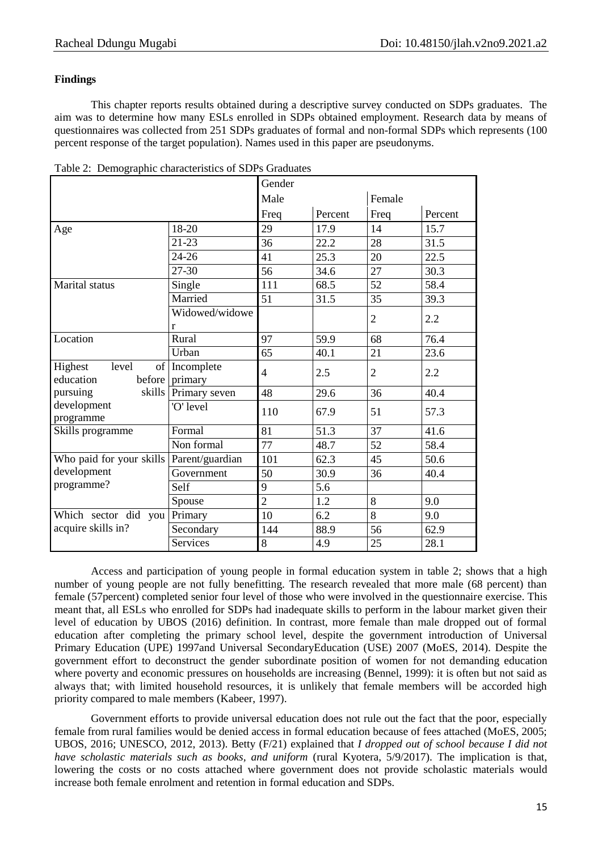# **Findings**

This chapter reports results obtained during a descriptive survey conducted on SDPs graduates. The aim was to determine how many ESLs enrolled in SDPs obtained employment. Research data by means of questionnaires was collected from 251 SDPs graduates of formal and non-formal SDPs which represents (100 percent response of the target population). Names used in this paper are pseudonyms.

|                          |                     | Gender         |         |                |         |  |  |  |
|--------------------------|---------------------|----------------|---------|----------------|---------|--|--|--|
|                          | Male                |                | Female  |                |         |  |  |  |
|                          |                     | Freq           | Percent | Freq           | Percent |  |  |  |
| Age                      | 18-20               | 29             | 17.9    | 14             | 15.7    |  |  |  |
|                          | 21-23               | 36             | 22.2    | 28             | 31.5    |  |  |  |
|                          | $24 - 26$           | 41             | 25.3    | 20             | 22.5    |  |  |  |
|                          | 27-30               | 56             | 34.6    | 27             | 30.3    |  |  |  |
| Marital status           | Single              | 111            | 68.5    | 52             | 58.4    |  |  |  |
|                          | Married             | 51             | 31.5    | 35             | 39.3    |  |  |  |
|                          | Widowed/widowe<br>r |                |         | $\overline{2}$ | 2.2     |  |  |  |
| Location                 | Rural               | 97             | 59.9    | 68             | 76.4    |  |  |  |
|                          | Urban               | 65             | 40.1    | 21             | 23.6    |  |  |  |
| Highest<br>level<br>of   | Incomplete          | $\overline{4}$ | 2.5     | $\overline{2}$ | 2.2     |  |  |  |
| education<br>before      | primary             |                |         |                |         |  |  |  |
| skills<br>pursuing       | Primary seven       | 48             | 29.6    | 36             | 40.4    |  |  |  |
| development<br>programme | O' level            | 110            | 67.9    | 51             | 57.3    |  |  |  |
| Skills programme         | Formal              | 81             | 51.3    | 37             | 41.6    |  |  |  |
|                          | Non formal          | 77             | 48.7    | 52             | 58.4    |  |  |  |
| Who paid for your skills | Parent/guardian     | 101            | 62.3    | 45             | 50.6    |  |  |  |
| development              | Government          | 50             | 30.9    | 36             | 40.4    |  |  |  |
| programme?               | Self                | 9              | 5.6     |                |         |  |  |  |
|                          | Spouse              | $\overline{2}$ | 1.2     | 8              | 9.0     |  |  |  |
| Which sector did you     | Primary             | 10             | 6.2     | 8              | 9.0     |  |  |  |
| acquire skills in?       | Secondary           | 144            | 88.9    | 56             | 62.9    |  |  |  |
|                          | Services            | 8              | 4.9     | 25             | 28.1    |  |  |  |

Table 2: Demographic characteristics of SDPs Graduates

Access and participation of young people in formal education system in table 2; shows that a high number of young people are not fully benefitting. The research revealed that more male (68 percent) than female (57percent) completed senior four level of those who were involved in the questionnaire exercise. This meant that, all ESLs who enrolled for SDPs had inadequate skills to perform in the labour market given their level of education by UBOS (2016) definition. In contrast, more female than male dropped out of formal education after completing the primary school level, despite the government introduction of Universal Primary Education (UPE) 1997and Universal SecondaryEducation (USE) 2007 (MoES, 2014). Despite the government effort to deconstruct the gender subordinate position of women for not demanding education where poverty and economic pressures on households are increasing (Bennel, 1999): it is often but not said as always that; with limited household resources, it is unlikely that female members will be accorded high priority compared to male members (Kabeer, 1997).

Government efforts to provide universal education does not rule out the fact that the poor, especially female from rural families would be denied access in formal education because of fees attached (MoES, 2005; UBOS, 2016; UNESCO, 2012, 2013). Betty (F/21) explained that *I dropped out of school because I did not have scholastic materials such as books, and uniform* (rural Kyotera, 5/9/2017). The implication is that, lowering the costs or no costs attached where government does not provide scholastic materials would increase both female enrolment and retention in formal education and SDPs.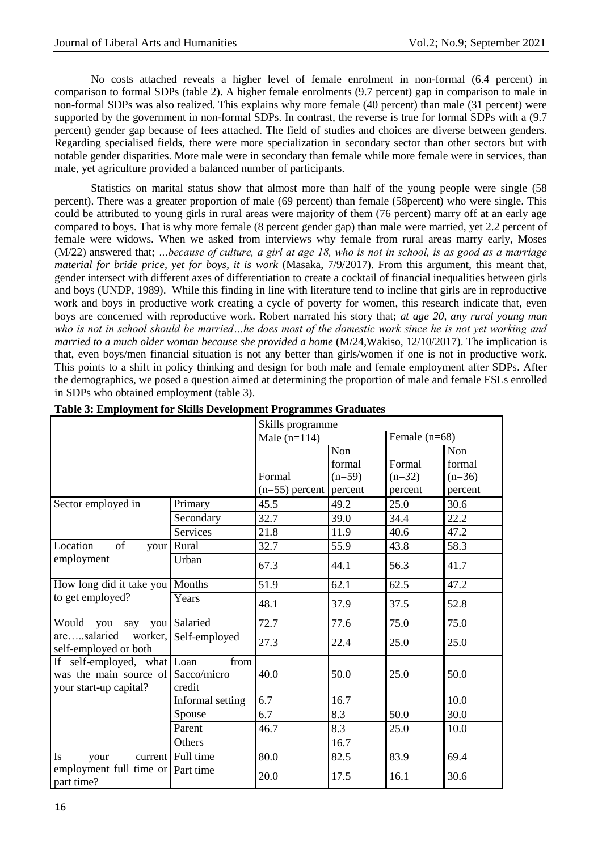No costs attached reveals a higher level of female enrolment in non-formal (6.4 percent) in comparison to formal SDPs (table 2). A higher female enrolments (9.7 percent) gap in comparison to male in non-formal SDPs was also realized. This explains why more female (40 percent) than male (31 percent) were supported by the government in non-formal SDPs. In contrast, the reverse is true for formal SDPs with a (9.7 percent) gender gap because of fees attached. The field of studies and choices are diverse between genders. Regarding specialised fields, there were more specialization in secondary sector than other sectors but with notable gender disparities. More male were in secondary than female while more female were in services, than male, yet agriculture provided a balanced number of participants.

Statistics on marital status show that almost more than half of the young people were single (58 percent). There was a greater proportion of male (69 percent) than female (58percent) who were single. This could be attributed to young girls in rural areas were majority of them (76 percent) marry off at an early age compared to boys. That is why more female (8 percent gender gap) than male were married, yet 2.2 percent of female were widows. When we asked from interviews why female from rural areas marry early, Moses (M/22) answered that; *…because of culture, a girl at age 18, who is not in school, is as good as a marriage material for bride price, yet for boys, it is work* (Masaka, 7/9/2017). From this argument, this meant that, gender intersect with different axes of differentiation to create a cocktail of financial inequalities between girls and boys (UNDP, 1989). While this finding in line with literature tend to incline that girls are in reproductive work and boys in productive work creating a cycle of poverty for women, this research indicate that, even boys are concerned with reproductive work. Robert narrated his story that; *at age 20, any rural young man who is not in school should be married…he does most of the domestic work since he is not yet working and married to a much older woman because she provided a home* (M/24,Wakiso, 12/10/2017). The implication is that, even boys/men financial situation is not any better than girls/women if one is not in productive work. This points to a shift in policy thinking and design for both male and female employment after SDPs. After the demographics, we posed a question aimed at determining the proportion of male and female ESLs enrolled in SDPs who obtained employment (table 3).

|                                                                                                       |                            | Skills programme |                 |          |      |  |  |  |
|-------------------------------------------------------------------------------------------------------|----------------------------|------------------|-----------------|----------|------|--|--|--|
|                                                                                                       | Male $(n=114)$             |                  | Female $(n=68)$ |          |      |  |  |  |
|                                                                                                       |                            | Non              |                 | Non      |      |  |  |  |
|                                                                                                       |                            | formal           | Formal          | formal   |      |  |  |  |
|                                                                                                       | Formal                     | $(n=59)$         | $(n=32)$        | $(n=36)$ |      |  |  |  |
|                                                                                                       | $(n=55)$ percent   percent |                  | percent         | percent  |      |  |  |  |
| Sector employed in                                                                                    | Primary                    | 45.5             | 49.2            | 25.0     | 30.6 |  |  |  |
|                                                                                                       | Secondary                  | 32.7             | 39.0            | 34.4     | 22.2 |  |  |  |
|                                                                                                       | <b>Services</b>            | 21.8             | 11.9            | 40.6     | 47.2 |  |  |  |
| Location<br>of<br>your                                                                                | Rural                      | 32.7             | 55.9            | 43.8     | 58.3 |  |  |  |
| employment                                                                                            | Urban                      | 67.3             | 44.1            | 56.3     | 41.7 |  |  |  |
| How long did it take you   Months                                                                     |                            | 51.9             | 62.1            | 62.5     | 47.2 |  |  |  |
| to get employed?                                                                                      | Years                      | 48.1             | 37.9            | 37.5     | 52.8 |  |  |  |
| Would you say                                                                                         | you Salaried               | 72.7             | 77.6            | 75.0     | 75.0 |  |  |  |
| aresalaried worker,<br>self-employed or both                                                          | Self-employed              | 27.3             | 22.4            | 25.0     | 25.0 |  |  |  |
| If self-employed, what $\lfloor$ Loan<br>was the main source of Sacco/micro<br>your start-up capital? | from<br>credit             | 40.0             | 50.0            | 25.0     | 50.0 |  |  |  |
|                                                                                                       | Informal setting           | 6.7              | 16.7            |          | 10.0 |  |  |  |
|                                                                                                       | Spouse                     | 6.7              | 8.3             | 50.0     | 30.0 |  |  |  |
|                                                                                                       | Parent                     | 46.7             | 8.3             | 25.0     | 10.0 |  |  |  |
|                                                                                                       | Others                     |                  | 16.7            |          |      |  |  |  |
| <b>Is</b><br>your                                                                                     | current Full time          | 80.0             | 82.5            | 83.9     | 69.4 |  |  |  |
| employment full time or Part time<br>part time?                                                       |                            | 20.0             | 17.5            | 16.1     | 30.6 |  |  |  |

### **Table 3: Employment for Skills Development Programmes Graduates**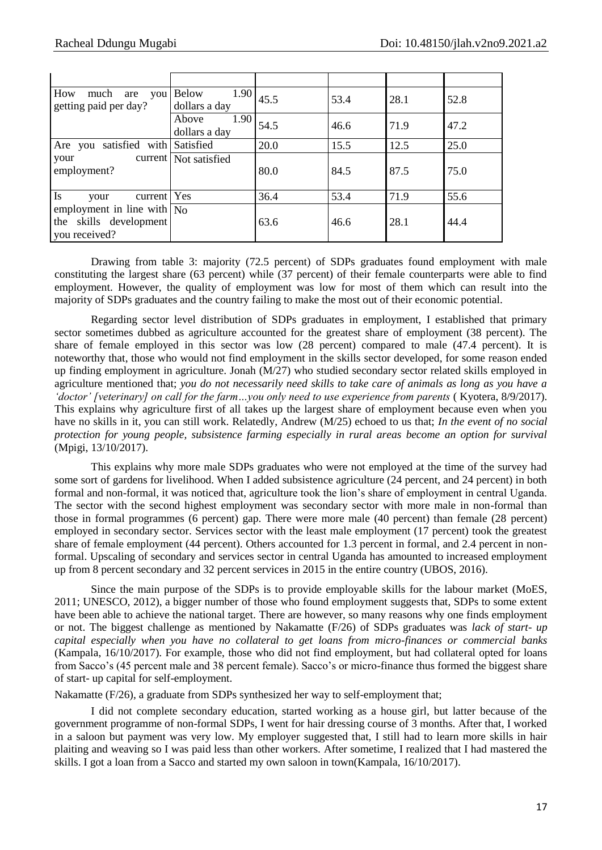| How<br>much<br>are<br>you<br>getting paid per day?                            | 1.90<br><b>Below</b><br>dollars a day | 45.5 | 53.4 | 28.1 | 52.8 |
|-------------------------------------------------------------------------------|---------------------------------------|------|------|------|------|
|                                                                               | 1.90<br>Above<br>dollars a day        | 54.5 | 46.6 | 71.9 | 47.2 |
| satisfied with<br>Are you                                                     | Satisfied                             | 20.0 | 15.5 | 12.5 | 25.0 |
| your<br>employment?                                                           | current   Not satisfied               | 80.0 | 84.5 | 87.5 | 75.0 |
| <b>Is</b><br>current  <br>your                                                | Yes                                   | 36.4 | 53.4 | 71.9 | 55.6 |
| employment in line with $\vert$ No<br>the skills development<br>you received? |                                       | 63.6 | 46.6 | 28.1 | 44.4 |

Drawing from table 3: majority (72.5 percent) of SDPs graduates found employment with male constituting the largest share (63 percent) while (37 percent) of their female counterparts were able to find employment. However, the quality of employment was low for most of them which can result into the majority of SDPs graduates and the country failing to make the most out of their economic potential.

Regarding sector level distribution of SDPs graduates in employment, I established that primary sector sometimes dubbed as agriculture accounted for the greatest share of employment (38 percent). The share of female employed in this sector was low (28 percent) compared to male (47.4 percent). It is noteworthy that, those who would not find employment in the skills sector developed, for some reason ended up finding employment in agriculture. Jonah (M/27) who studied secondary sector related skills employed in agriculture mentioned that; *you do not necessarily need skills to take care of animals as long as you have a 'doctor' [veterinary] on call for the farm…you only need to use experience from parents* ( Kyotera, 8/9/2017). This explains why agriculture first of all takes up the largest share of employment because even when you have no skills in it, you can still work. Relatedly, Andrew (M/25) echoed to us that; *In the event of no social protection for young people, subsistence farming especially in rural areas become an option for survival*  (Mpigi, 13/10/2017).

This explains why more male SDPs graduates who were not employed at the time of the survey had some sort of gardens for livelihood. When I added subsistence agriculture (24 percent, and 24 percent) in both formal and non-formal, it was noticed that, agriculture took the lion's share of employment in central Uganda. The sector with the second highest employment was secondary sector with more male in non-formal than those in formal programmes (6 percent) gap. There were more male (40 percent) than female (28 percent) employed in secondary sector. Services sector with the least male employment (17 percent) took the greatest share of female employment (44 percent). Others accounted for 1.3 percent in formal, and 2.4 percent in nonformal. Upscaling of secondary and services sector in central Uganda has amounted to increased employment up from 8 percent secondary and 32 percent services in 2015 in the entire country (UBOS, 2016).

Since the main purpose of the SDPs is to provide employable skills for the labour market (MoES, 2011; UNESCO, 2012), a bigger number of those who found employment suggests that, SDPs to some extent have been able to achieve the national target. There are however, so many reasons why one finds employment or not. The biggest challenge as mentioned by Nakamatte (F/26) of SDPs graduates was *lack of start- up capital especially when you have no collateral to get loans from micro-finances or commercial banks* (Kampala, 16/10/2017). For example, those who did not find employment, but had collateral opted for loans from Sacco's (45 percent male and 38 percent female). Sacco's or micro-finance thus formed the biggest share of start- up capital for self-employment.

Nakamatte (F/26), a graduate from SDPs synthesized her way to self-employment that;

I did not complete secondary education, started working as a house girl, but latter because of the government programme of non-formal SDPs, I went for hair dressing course of 3 months. After that, I worked in a saloon but payment was very low. My employer suggested that, I still had to learn more skills in hair plaiting and weaving so I was paid less than other workers. After sometime, I realized that I had mastered the skills. I got a loan from a Sacco and started my own saloon in town(Kampala, 16/10/2017).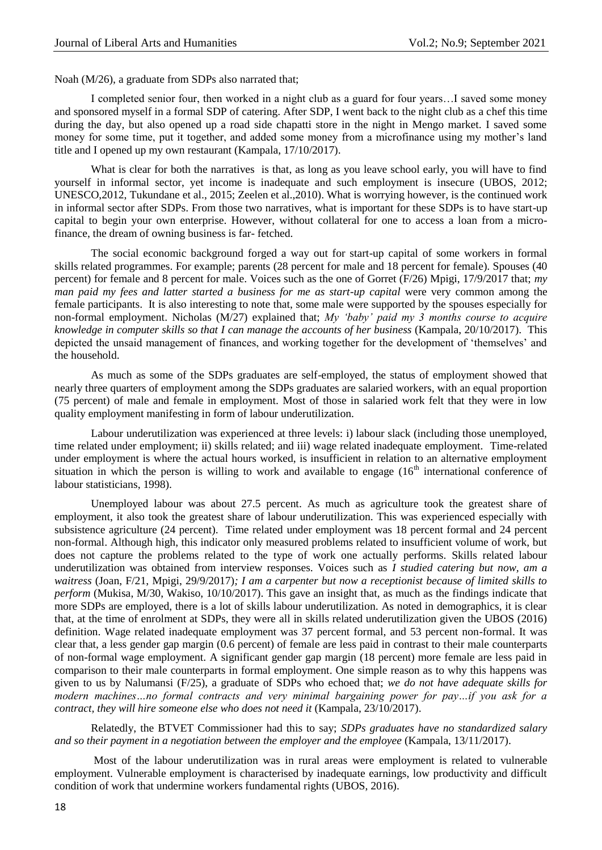Noah (M/26), a graduate from SDPs also narrated that;

I completed senior four, then worked in a night club as a guard for four years…I saved some money and sponsored myself in a formal SDP of catering. After SDP, I went back to the night club as a chef this time during the day, but also opened up a road side chapatti store in the night in Mengo market. I saved some money for some time, put it together, and added some money from a microfinance using my mother's land title and I opened up my own restaurant (Kampala, 17/10/2017).

What is clear for both the narratives is that, as long as you leave school early, you will have to find yourself in informal sector, yet income is inadequate and such employment is insecure (UBOS, 2012; UNESCO,2012, Tukundane et al., 2015; Zeelen et al.,2010). What is worrying however, is the continued work in informal sector after SDPs. From those two narratives, what is important for these SDPs is to have start-up capital to begin your own enterprise. However, without collateral for one to access a loan from a microfinance, the dream of owning business is far- fetched.

The social economic background forged a way out for start-up capital of some workers in formal skills related programmes. For example; parents (28 percent for male and 18 percent for female). Spouses (40 percent) for female and 8 percent for male. Voices such as the one of Gorret (F/26) Mpigi, 17/9/2017 that; *my man paid my fees and latter started a business for me as start-up capital were very common among the* female participants. It is also interesting to note that, some male were supported by the spouses especially for non-formal employment. Nicholas (M/27) explained that; *My 'baby' paid my 3 months course to acquire knowledge in computer skills so that I can manage the accounts of her business* (Kampala, 20/10/2017). This depicted the unsaid management of finances, and working together for the development of 'themselves' and the household.

As much as some of the SDPs graduates are self-employed, the status of employment showed that nearly three quarters of employment among the SDPs graduates are salaried workers, with an equal proportion (75 percent) of male and female in employment. Most of those in salaried work felt that they were in low quality employment manifesting in form of labour underutilization.

Labour underutilization was experienced at three levels: i) labour slack (including those unemployed, time related under employment; ii) skills related; and iii) wage related inadequate employment. Time-related under employment is where the actual hours worked, is insufficient in relation to an alternative employment situation in which the person is willing to work and available to engage  $(16<sup>th</sup>$  international conference of labour statisticians, 1998).

Unemployed labour was about 27.5 percent. As much as agriculture took the greatest share of employment, it also took the greatest share of labour underutilization. This was experienced especially with subsistence agriculture (24 percent). Time related under employment was 18 percent formal and 24 percent non-formal. Although high, this indicator only measured problems related to insufficient volume of work, but does not capture the problems related to the type of work one actually performs. Skills related labour underutilization was obtained from interview responses. Voices such as *I studied catering but now, am a waitress* (Joan, F/21, Mpigi, 29/9/2017)*; I am a carpenter but now a receptionist because of limited skills to perform* (Mukisa, M/30, Wakiso, 10/10/2017). This gave an insight that, as much as the findings indicate that more SDPs are employed, there is a lot of skills labour underutilization. As noted in demographics, it is clear that, at the time of enrolment at SDPs, they were all in skills related underutilization given the UBOS (2016) definition. Wage related inadequate employment was 37 percent formal, and 53 percent non-formal. It was clear that, a less gender gap margin (0.6 percent) of female are less paid in contrast to their male counterparts of non-formal wage employment. A significant gender gap margin (18 percent) more female are less paid in comparison to their male counterparts in formal employment. One simple reason as to why this happens was given to us by Nalumansi (F/25), a graduate of SDPs who echoed that; *we do not have adequate skills for modern machines…no formal contracts and very minimal bargaining power for pay…if you ask for a contract, they will hire someone else who does not need it* (Kampala, 23/10/2017).

Relatedly, the BTVET Commissioner had this to say; *SDPs graduates have no standardized salary and so their payment in a negotiation between the employer and the employee* (Kampala, 13/11/2017).

Most of the labour underutilization was in rural areas were employment is related to vulnerable employment. Vulnerable employment is characterised by inadequate earnings, low productivity and difficult condition of work that undermine workers fundamental rights (UBOS, 2016).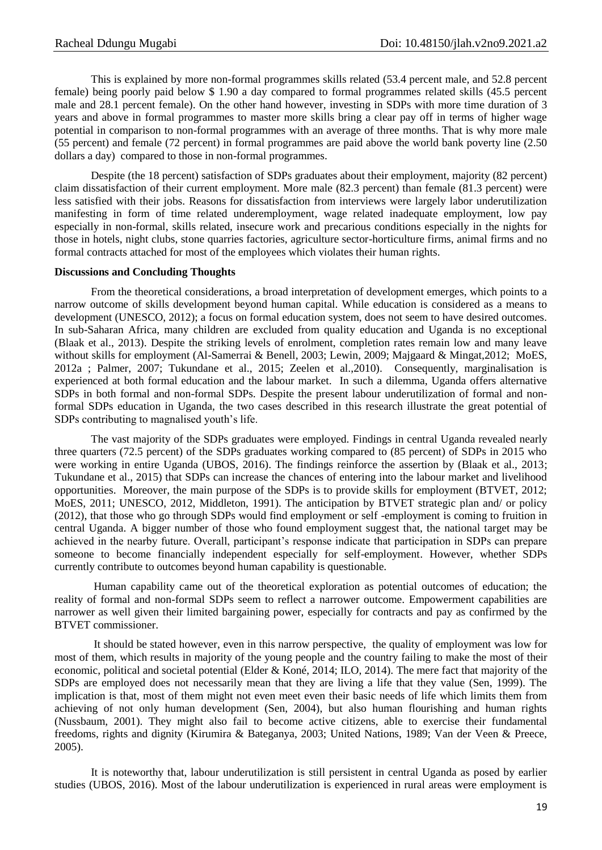This is explained by more non-formal programmes skills related (53.4 percent male, and 52.8 percent female) being poorly paid below \$ 1.90 a day compared to formal programmes related skills (45.5 percent male and 28.1 percent female). On the other hand however, investing in SDPs with more time duration of 3 years and above in formal programmes to master more skills bring a clear pay off in terms of higher wage potential in comparison to non-formal programmes with an average of three months. That is why more male (55 percent) and female (72 percent) in formal programmes are paid above the world bank poverty line (2.50 dollars a day) compared to those in non-formal programmes.

Despite (the 18 percent) satisfaction of SDPs graduates about their employment, majority (82 percent) claim dissatisfaction of their current employment. More male (82.3 percent) than female (81.3 percent) were less satisfied with their jobs. Reasons for dissatisfaction from interviews were largely labor underutilization manifesting in form of time related underemployment, wage related inadequate employment, low pay especially in non-formal, skills related, insecure work and precarious conditions especially in the nights for those in hotels, night clubs, stone quarries factories, agriculture sector-horticulture firms, animal firms and no formal contracts attached for most of the employees which violates their human rights.

#### **Discussions and Concluding Thoughts**

From the theoretical considerations, a broad interpretation of development emerges, which points to a narrow outcome of skills development beyond human capital. While education is considered as a means to development (UNESCO, 2012); a focus on formal education system, does not seem to have desired outcomes. In sub-Saharan Africa, many children are excluded from quality education and Uganda is no exceptional (Blaak et al., 2013). Despite the striking levels of enrolment, completion rates remain low and many leave without skills for employment (Al-Samerrai & Benell, 2003; Lewin, 2009; Majgaard & Mingat, 2012; MoES, 2012a ; Palmer, 2007; Tukundane et al., 2015; Zeelen et al.,2010). Consequently, marginalisation is experienced at both formal education and the labour market. In such a dilemma, Uganda offers alternative SDPs in both formal and non-formal SDPs. Despite the present labour underutilization of formal and nonformal SDPs education in Uganda, the two cases described in this research illustrate the great potential of SDPs contributing to magnalised youth's life.

The vast majority of the SDPs graduates were employed. Findings in central Uganda revealed nearly three quarters (72.5 percent) of the SDPs graduates working compared to (85 percent) of SDPs in 2015 who were working in entire Uganda (UBOS, 2016). The findings reinforce the assertion by (Blaak et al., 2013; Tukundane et al., 2015) that SDPs can increase the chances of entering into the labour market and livelihood opportunities. Moreover, the main purpose of the SDPs is to provide skills for employment (BTVET, 2012; MoES, 2011; UNESCO, 2012, Middleton, 1991). The anticipation by BTVET strategic plan and/ or policy (2012), that those who go through SDPs would find employment or self -employment is coming to fruition in central Uganda. A bigger number of those who found employment suggest that, the national target may be achieved in the nearby future. Overall, participant's response indicate that participation in SDPs can prepare someone to become financially independent especially for self-employment. However, whether SDPs currently contribute to outcomes beyond human capability is questionable.

Human capability came out of the theoretical exploration as potential outcomes of education; the reality of formal and non-formal SDPs seem to reflect a narrower outcome. Empowerment capabilities are narrower as well given their limited bargaining power, especially for contracts and pay as confirmed by the BTVET commissioner.

It should be stated however, even in this narrow perspective, the quality of employment was low for most of them, which results in majority of the young people and the country failing to make the most of their economic, political and societal potential (Elder & Koné, 2014; ILO, 2014). The mere fact that majority of the SDPs are employed does not necessarily mean that they are living a life that they value (Sen, 1999). The implication is that, most of them might not even meet even their basic needs of life which limits them from achieving of not only human development (Sen, 2004), but also human flourishing and human rights (Nussbaum, 2001). They might also fail to become active citizens, able to exercise their fundamental freedoms, rights and dignity (Kirumira & Bateganya, 2003; United Nations, 1989; Van der Veen & Preece, 2005).

It is noteworthy that, labour underutilization is still persistent in central Uganda as posed by earlier studies (UBOS, 2016). Most of the labour underutilization is experienced in rural areas were employment is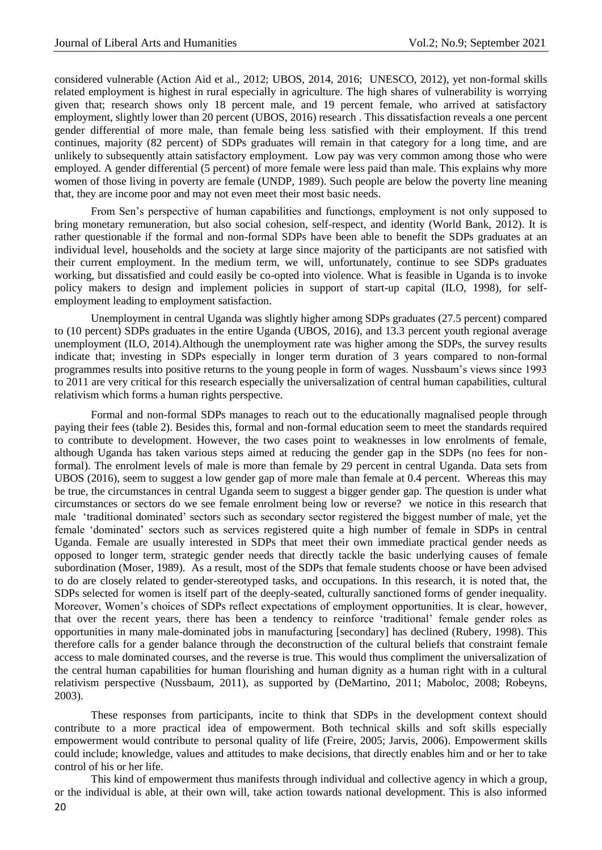considered vulnerable (Action Aid et al., 2012; UBOS, 2014, 2016; UNESCO, 2012), yet non-formal skills related employment is highest in rural especially in agriculture. The high shares of vulnerability is worrying given that; research shows only 18 percent male, and 19 percent female, who arrived at satisfactory employment, slightly lower than 20 percent (UBOS, 2016) research . This dissatisfaction reveals a one percent gender differential of more male, than female being less satisfied with their employment. If this trend continues, majority (82 percent) of SDPs graduates will remain in that category for a long time, and are unlikely to subsequently attain satisfactory employment. Low pay was very common among those who were employed. A gender differential (5 percent) of more female were less paid than male. This explains why more women of those living in poverty are female (UNDP, 1989). Such people are below the poverty line meaning that, they are income poor and may not even meet their most basic needs.

From Sen's perspective of human capabilities and functiongs, employment is not only supposed to bring monetary remuneration, but also social cohesion, self-respect, and identity (World Bank, 2012). It is rather questionable if the formal and non-formal SDPs have been able to benefit the SDPs graduates at an individual level, households and the society at large since majority of the participants are not satisfied with their current employment. In the medium term, we will, unfortunately, continue to see SDPs graduates working, but dissatisfied and could easily be co-opted into violence. What is feasible in Uganda is to invoke policy makers to design and implement policies in support of start-up capital (ILO, 1998), for selfemployment leading to employment satisfaction.

Unemployment in central Uganda was slightly higher among SDPs graduates (27.5 percent) compared to (10 percent) SDPs graduates in the entire Uganda (UBOS, 2016), and 13.3 percent youth regional average unemployment (ILO, 2014).Although the unemployment rate was higher among the SDPs, the survey results indicate that; investing in SDPs especially in longer term duration of 3 years compared to non-formal programmes results into positive returns to the young people in form of wages. Nussbaum's views since 1993 to 2011 are very critical for this research especially the universalization of central human capabilities, cultural relativism which forms a human rights perspective.

Formal and non-formal SDPs manages to reach out to the educationally magnalised people through paying their fees (table 2). Besides this, formal and non-formal education seem to meet the standards required to contribute to development. However, the two cases point to weaknesses in low enrolments of female, although Uganda has taken various steps aimed at reducing the gender gap in the SDPs (no fees for nonformal). The enrolment levels of male is more than female by 29 percent in central Uganda. Data sets from UBOS (2016), seem to suggest a low gender gap of more male than female at 0.4 percent. Whereas this may be true, the circumstances in central Uganda seem to suggest a bigger gender gap. The question is under what circumstances or sectors do we see female enrolment being low or reverse? we notice in this research that male ‗traditional dominated' sectors such as secondary sector registered the biggest number of male, yet the female ‗dominated' sectors such as services registered quite a high number of female in SDPs in central Uganda. Female are usually interested in SDPs that meet their own immediate practical gender needs as opposed to longer term, strategic gender needs that directly tackle the basic underlying causes of female subordination (Moser, 1989). As a result, most of the SDPs that female students choose or have been advised to do are closely related to gender-stereotyped tasks, and occupations. In this research, it is noted that, the SDPs selected for women is itself part of the deeply-seated, culturally sanctioned forms of gender inequality. Moreover, Women's choices of SDPs reflect expectations of employment opportunities. It is clear, however, that over the recent years, there has been a tendency to reinforce ‗traditional' female gender roles as opportunities in many male-dominated jobs in manufacturing [secondary] has declined (Rubery, 1998). This therefore calls for a gender balance through the deconstruction of the cultural beliefs that constraint female access to male dominated courses, and the reverse is true. This would thus compliment the universalization of the central human capabilities for human flourishing and human dignity as a human right with in a cultural relativism perspective (Nussbaum, 2011), as supported by (DeMartino, 2011; Maboloc, 2008; Robeyns, 2003).

These responses from participants, incite to think that SDPs in the development context should contribute to a more practical idea of empowerment. Both technical skills and soft skills especially empowerment would contribute to personal quality of life (Freire, 2005; Jarvis, 2006). Empowerment skills could include; knowledge, values and attitudes to make decisions, that directly enables him and or her to take control of his or her life.

20 This kind of empowerment thus manifests through individual and collective agency in which a group, or the individual is able, at their own will, take action towards national development. This is also informed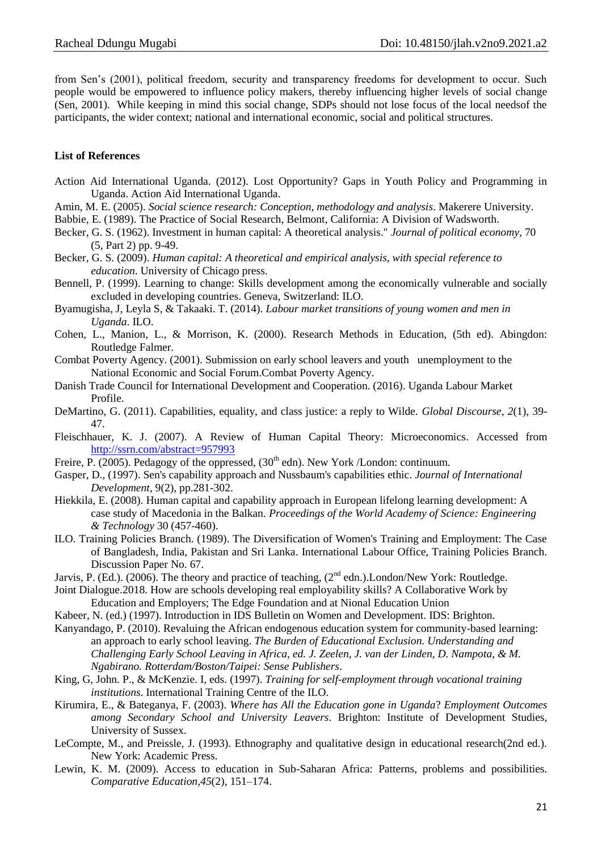from Sen's (2001), political freedom, security and transparency freedoms for development to occur. Such people would be empowered to influence policy makers, thereby influencing higher levels of social change (Sen, 2001). While keeping in mind this social change, SDPs should not lose focus of the local needsof the participants, the wider context; national and international economic, social and political structures.

# **List of References**

- Action Aid International Uganda. (2012). Lost Opportunity? Gaps in Youth Policy and Programming in Uganda. Action Aid International Uganda.
- Amin, M. E. (2005). *Social science research: Conception, methodology and analysis*. Makerere University.
- Babbie, E. (1989). The Practice of Social Research, Belmont, California: A Division of Wadsworth.
- Becker, G. S. (1962). Investment in human capital: A theoretical analysis." *Journal of political economy,* 70 (5, Part 2) pp. 9-49.
- Becker, G. S. (2009). *Human capital: A theoretical and empirical analysis, with special reference to education*. University of Chicago press.
- Bennell, P. (1999). Learning to change: Skills development among the economically vulnerable and socially excluded in developing countries. Geneva, Switzerland: ILO.
- Byamugisha, J, Leyla S, & Takaaki. T. (2014). *Labour market transitions of young women and men in Uganda*. ILO.
- Cohen, L., Manion, L., & Morrison, K. (2000). Research Methods in Education, (5th ed). Abingdon: Routledge Falmer.
- Combat Poverty Agency. (2001). Submission on early school leavers and youth unemployment to the National Economic and Social Forum.Combat Poverty Agency.
- Danish Trade Council for International Development and Cooperation. (2016). Uganda Labour Market Profile.
- DeMartino, G. (2011). Capabilities, equality, and class justice: a reply to Wilde. *Global Discourse*, *2*(1), 39- 47.
- Fleischhauer, K. J. (2007). A Review of Human Capital Theory: Microeconomics. Accessed from <http://ssrn.com/abstract=957993>
- Freire, P. (2005). Pedagogy of the oppressed,  $(30<sup>th</sup>$  edn). New York /London: continuum.
- Gasper, D., (1997). Sen's capability approach and Nussbaum's capabilities ethic. *Journal of International Development*, 9(2), pp.281-302.
- Hiekkila, E. (2008). Human capital and capability approach in European lifelong learning development: A case study of Macedonia in the Balkan. *Proceedings of the World Academy of Science: Engineering & Technology* 30 (457-460).
- ILO. Training Policies Branch. (1989). The Diversification of Women's Training and Employment: The Case of Bangladesh, India, Pakistan and Sri Lanka. International Labour Office, Training Policies Branch. Discussion Paper No. 67.
- Jarvis, P. (Ed.). (2006). The theory and practice of teaching, (2<sup>nd</sup> edn.). London/New York: Routledge.
- Joint Dialogue.2018. How are schools developing real employability skills? A Collaborative Work by Education and Employers; The Edge Foundation and at Nional Education Union
- Kabeer, N. (ed.) (1997). Introduction in IDS Bulletin on Women and Development. IDS: Brighton.
- Kanyandago, P. (2010). Revaluing the African endogenous education system for community-based learning: an approach to early school leaving. *The Burden of Educational Exclusion. Understanding and Challenging Early School Leaving in Africa, ed. J. Zeelen, J. van der Linden, D. Nampota, & M. Ngabirano. Rotterdam/Boston/Taipei: Sense Publishers*.
- King, G, John. P., & McKenzie. I, eds. (1997). *Training for self-employment through vocational training institutions*. International Training Centre of the ILO.
- Kirumira, E., & Bateganya, F. (2003). *Where has All the Education gone in Uganda*? *Employment Outcomes among Secondary School and University Leavers*. Brighton: Institute of Development Studies, University of Sussex.
- LeCompte, M., and Preissle, J. (1993). Ethnography and qualitative design in educational research(2nd ed.). New York: Academic Press.
- Lewin, K. M. (2009). Access to education in Sub-Saharan Africa: Patterns, problems and possibilities. *Comparative Education,45*(2), 151–174.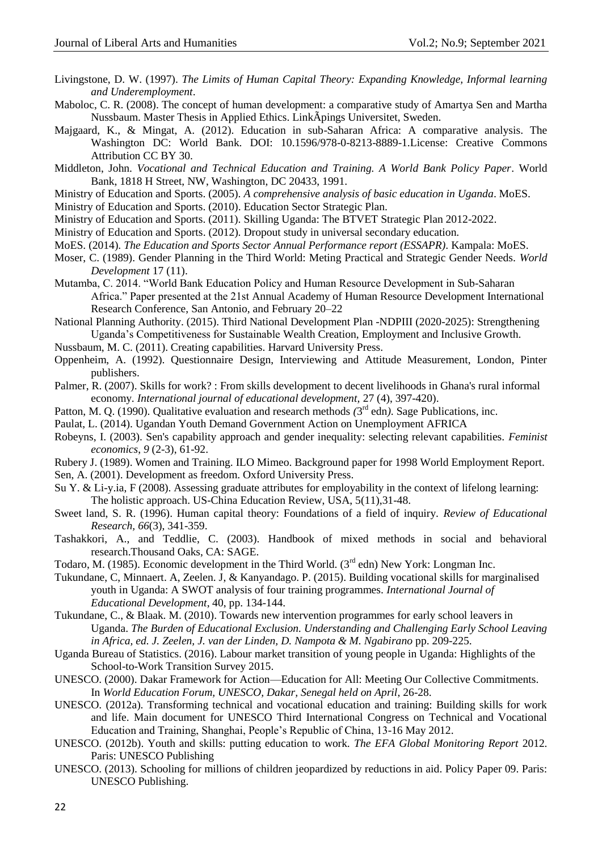- Livingstone, D. W. (1997). *The Limits of Human Capital Theory: Expanding Knowledge, Informal learning and Underemployment*.
- Maboloc, C. R. (2008). The concept of human development: a comparative study of Amartya Sen and Martha Nussbaum. Master Thesis in Applied Ethics. LinkÃpings Universitet, Sweden.
- Majgaard, K., & Mingat, A. (2012). Education in sub-Saharan Africa: A comparative analysis. The Washington DC: World Bank. DOI: 10.1596/978-0-8213-8889-1.License: Creative Commons Attribution CC BY 30.
- Middleton, John. *Vocational and Technical Education and Training. A World Bank Policy Paper*. World Bank, 1818 H Street, NW, Washington, DC 20433, 1991.
- Ministry of Education and Sports. (2005). *A comprehensive analysis of basic education in Uganda*. MoES.
- Ministry of Education and Sports. (2010). Education Sector Strategic Plan*.*
- Ministry of Education and Sports. (2011). Skilling Uganda: The BTVET Strategic Plan 2012-2022.
- Ministry of Education and Sports. (2012). Dropout study in universal secondary education*.*
- MoES. (2014). *The Education and Sports Sector Annual Performance report (ESSAPR)*. Kampala: MoES.
- Moser, C. (1989). Gender Planning in the Third World: Meting Practical and Strategic Gender Needs. *World Development* 17 (11).
- Mutamba, C. 2014. "World Bank Education Policy and Human Resource Development in Sub-Saharan Africa.‖ Paper presented at the 21st Annual Academy of Human Resource Development International Research Conference, San Antonio, and February 20–22
- National Planning Authority. (2015). Third National Development Plan -NDPIII (2020-2025): Strengthening Uganda's Competitiveness for Sustainable Wealth Creation, Employment and Inclusive Growth.
- Nussbaum, M. C. (2011). Creating capabilities. Harvard University Press.
- Oppenheim, A. (1992). Questionnaire Design, Interviewing and Attitude Measurement, London, Pinter publishers.
- Palmer, R. (2007). Skills for work? : From skills development to decent livelihoods in Ghana's rural informal economy. *International journal of educational development,* 27 (4), 397-420).
- Patton, M. Q. (1990). Qualitative evaluation and research methods (3<sup>rd</sup> edn). Sage Publications, inc.
- Paulat, L. (2014). Ugandan Youth Demand Government Action on Unemployment AFRICA
- Robeyns, I. (2003). Sen's capability approach and gender inequality: selecting relevant capabilities. *Feminist economics*, *9* (2-3), 61-92.
- Rubery J. (1989). Women and Training. ILO Mimeo. Background paper for 1998 World Employment Report.
- Sen, A. (2001). Development as freedom. Oxford University Press.
- Su Y. & Li-y.ia, F (2008). Assessing graduate attributes for employability in the context of lifelong learning: The holistic approach. US-China Education Review, USA, 5(11),31-48.
- Sweet land, S. R. (1996). Human capital theory: Foundations of a field of inquiry. *Review of Educational Research, 66*(3), 341-359.
- Tashakkori, A., and Teddlie, C. (2003). Handbook of mixed methods in social and behavioral research.Thousand Oaks, CA: SAGE.
- Todaro, M. (1985). Economic development in the Third World. (3<sup>rd</sup> edn) New York: Longman Inc.
- Tukundane, C, Minnaert. A, Zeelen. J, & Kanyandago. P. (2015). Building vocational skills for marginalised youth in Uganda: A SWOT analysis of four training programmes. *International Journal of Educational Development*, 40, pp. 134-144.
- Tukundane, C., & Blaak. M. (2010). Towards new intervention programmes for early school leavers in Uganda. *The Burden of Educational Exclusion. Understanding and Challenging Early School Leaving in Africa, ed. J. Zeelen, J. van der Linden, D. Nampota & M. Ngabirano* pp. 209-225.
- Uganda Bureau of Statistics. (2016). Labour market transition of young people in Uganda: Highlights of the School-to-Work Transition Survey 2015.
- UNESCO. (2000). Dakar Framework for Action—Education for All: Meeting Our Collective Commitments. In *World Education Forum, UNESCO, Dakar, Senegal held on April*, 26-28.
- UNESCO. (2012a). Transforming technical and vocational education and training: Building skills for work and life. Main document for UNESCO Third International Congress on Technical and Vocational Education and Training, Shanghai, People's Republic of China, 13-16 May 2012.
- UNESCO. (2012b). Youth and skills: putting education to work. *The EFA Global Monitoring Report* 2012. Paris: UNESCO Publishing
- UNESCO. (2013). Schooling for millions of children jeopardized by reductions in aid. Policy Paper 09. Paris: UNESCO Publishing.